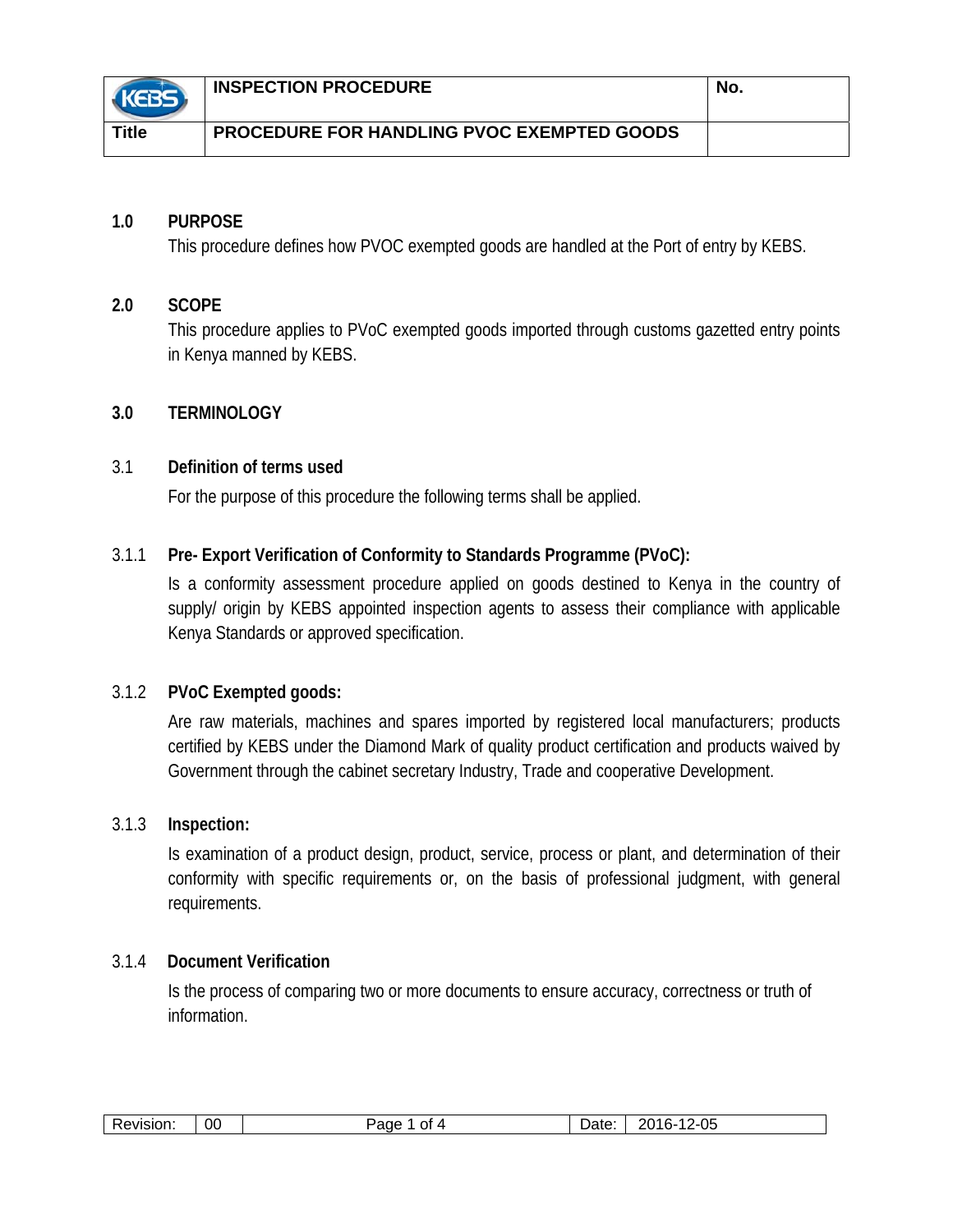|              | <b>INSPECTION PROCEDURE</b>                       | No. |
|--------------|---------------------------------------------------|-----|
| <b>Title</b> | <b>PROCEDURE FOR HANDLING PVOC EXEMPTED GOODS</b> |     |

# **1.0 PURPOSE**

This procedure defines how PVOC exempted goods are handled at the Port of entry by KEBS.

## **2.0 SCOPE**

This procedure applies to PVoC exempted goods imported through customs gazetted entry points in Kenya manned by KEBS.

# **3.0 TERMINOLOGY**

## 3.1 **Definition of terms used**

For the purpose of this procedure the following terms shall be applied.

# 3.1.1 **Pre- Export Verification of Conformity to Standards Programme (PVoC):**

Is a conformity assessment procedure applied on goods destined to Kenya in the country of supply/ origin by KEBS appointed inspection agents to assess their compliance with applicable Kenya Standards or approved specification.

## 3.1.2 **PVoC Exempted goods:**

Are raw materials, machines and spares imported by registered local manufacturers; products certified by KEBS under the Diamond Mark of quality product certification and products waived by Government through the cabinet secretary Industry, Trade and cooperative Development.

## 3.1.3 **Inspection:**

Is examination of a product design, product, service, process or plant, and determination of their conformity with specific requirements or, on the basis of professional judgment, with general requirements.

## 3.1.4 **Document Verification**

Is the process of comparing two or more documents to ensure accuracy, correctness or truth of information.

| 0C<br>$\overline{\phantom{a}}$<br>O1<br>20 I F<br>!VISIOI<br>. . | 10.15<br>.,<br> | $\sim$ $\sim$<br>74 C<br>זר<br>$\overline{ }$<br>∵∪<br>$-$ |
|------------------------------------------------------------------|-----------------|------------------------------------------------------------|
|------------------------------------------------------------------|-----------------|------------------------------------------------------------|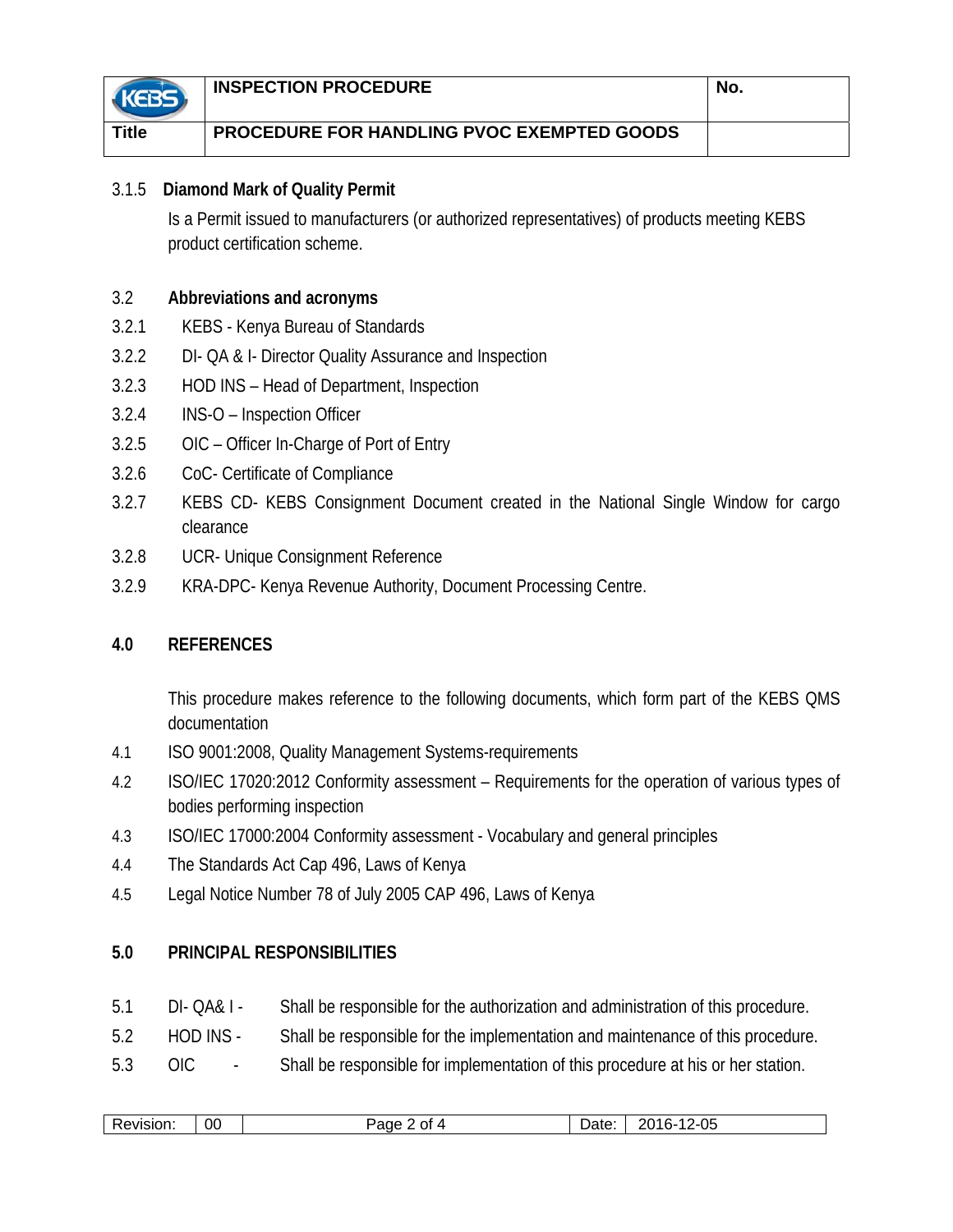|       | <b>INSPECTION PROCEDURE</b>                       | No. |
|-------|---------------------------------------------------|-----|
| Title | <b>PROCEDURE FOR HANDLING PVOC EXEMPTED GOODS</b> |     |

# 3.1.5 **Diamond Mark of Quality Permit**

Is a Permit issued to manufacturers (or authorized representatives) of products meeting KEBS product certification scheme.

# 3.2 **Abbreviations and acronyms**

- 3.2.1 KEBS Kenya Bureau of Standards
- 3.2.2 DI- QA & I- Director Quality Assurance and Inspection
- 3.2.3 HOD INS Head of Department, Inspection
- 3.2.4 INS-O Inspection Officer
- 3.2.5 OIC Officer In-Charge of Port of Entry
- 3.2.6 CoC- Certificate of Compliance
- 3.2.7 KEBS CD- KEBS Consignment Document created in the National Single Window for cargo clearance
- 3.2.8 UCR- Unique Consignment Reference
- 3.2.9 KRA-DPC- Kenya Revenue Authority, Document Processing Centre.

# **4.0 REFERENCES**

This procedure makes reference to the following documents, which form part of the KEBS QMS documentation

- 4.1 ISO 9001:2008, Quality Management Systems-requirements
- 4.2 ISO/IEC 17020:2012 Conformity assessment Requirements for the operation of various types of bodies performing inspection
- 4.3 ISO/IEC 17000:2004 Conformity assessment Vocabulary and general principles
- 4.4 The Standards Act Cap 496, Laws of Kenya
- 4.5 Legal Notice Number 78 of July 2005 CAP 496, Laws of Kenya

## **5.0 PRINCIPAL RESPONSIBILITIES**

- 5.1 DI- QA& I Shall be responsible for the authorization and administration of this procedure.
- 5.2 HOD INS Shall be responsible for the implementation and maintenance of this procedure.
- 5.3 OIC Shall be responsible for implementation of this procedure at his or her station.

| - -<br>ate)<br>~<br>. .<br>PVISIOL∟<br>аое<br>′∹∪ઃ<br>$\sim$<br>້<br>ww<br>◡<br> | 00 |  |  | $\cap$<br>הר |
|----------------------------------------------------------------------------------|----|--|--|--------------|
|----------------------------------------------------------------------------------|----|--|--|--------------|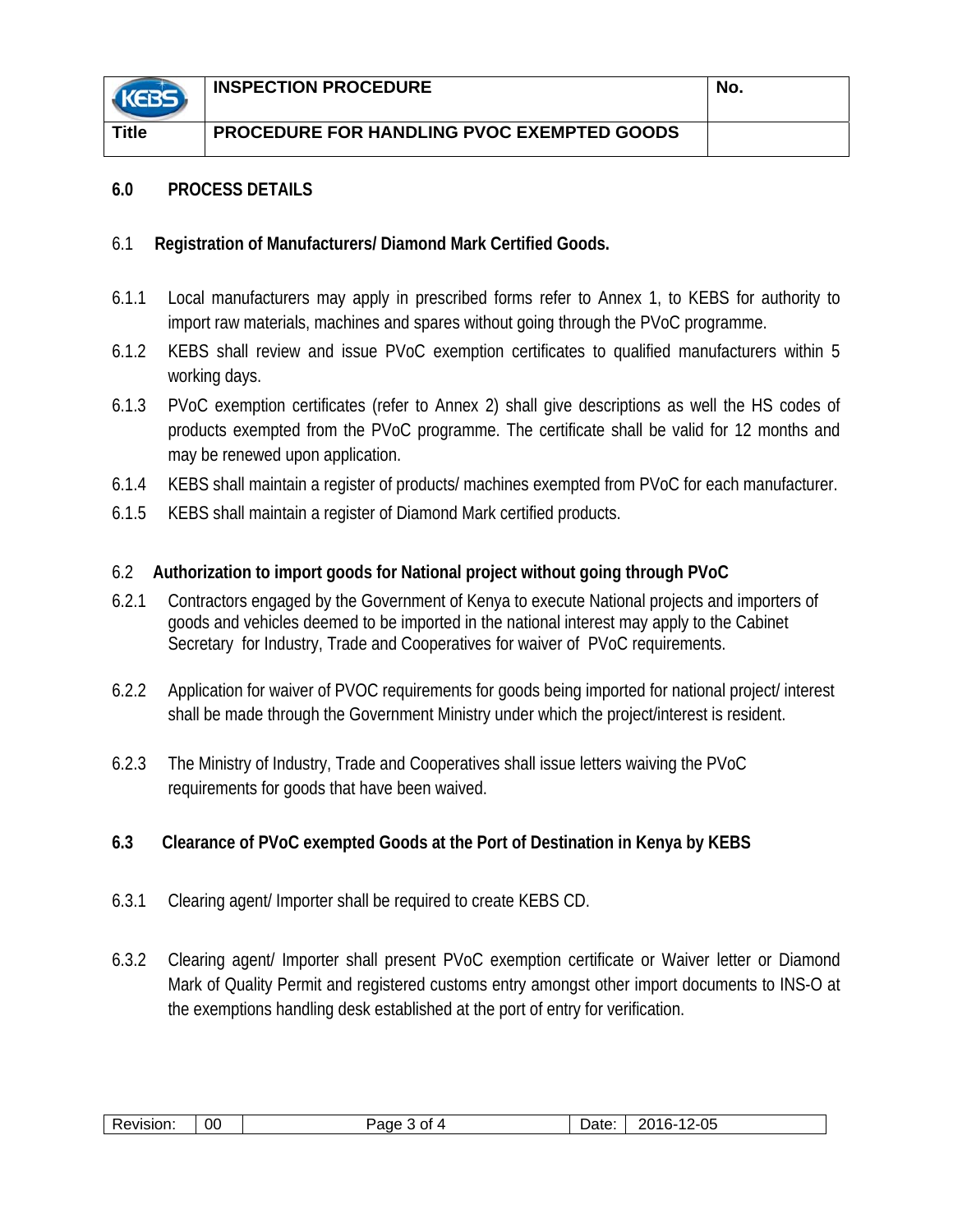

**Title PROCEDURE FOR HANDLING PVOC EXEMPTED GOODS** 

#### **6.0 PROCESS DETAILS**

## 6.1 **Registration of Manufacturers/ Diamond Mark Certified Goods.**

- 6.1.1 Local manufacturers may apply in prescribed forms refer to Annex 1, to KEBS for authority to import raw materials, machines and spares without going through the PVoC programme.
- 6.1.2 KEBS shall review and issue PVoC exemption certificates to qualified manufacturers within 5 working days.
- 6.1.3 PVoC exemption certificates (refer to Annex 2) shall give descriptions as well the HS codes of products exempted from the PVoC programme. The certificate shall be valid for 12 months and may be renewed upon application.
- 6.1.4 KEBS shall maintain a register of products/ machines exempted from PVoC for each manufacturer.
- 6.1.5 KEBS shall maintain a register of Diamond Mark certified products.

# 6.2 **Authorization to import goods for National project without going through PVoC**

- 6.2.1 Contractors engaged by the Government of Kenya to execute National projects and importers of goods and vehicles deemed to be imported in the national interest may apply to the Cabinet Secretary for Industry, Trade and Cooperatives for waiver of PVoC requirements.
- 6.2.2 Application for waiver of PVOC requirements for goods being imported for national project/ interest shall be made through the Government Ministry under which the project/interest is resident.
- 6.2.3 The Ministry of Industry, Trade and Cooperatives shall issue letters waiving the PVoC requirements for goods that have been waived.

# **6.3 Clearance of PVoC exempted Goods at the Port of Destination in Kenya by KEBS**

- 6.3.1 Clearing agent/ Importer shall be required to create KEBS CD.
- 6.3.2 Clearing agent/ Importer shall present PVoC exemption certificate or Waiver letter or Diamond Mark of Quality Permit and registered customs entry amongst other import documents to INS-O at the exemptions handling desk established at the port of entry for verification.

| 00<br>wision.<br>- | י∩ר<br>Ωt | )ate<br>- | 2-05<br>$\sim$<br>חר<br>11L<br>້−ັ |
|--------------------|-----------|-----------|------------------------------------|
|--------------------|-----------|-----------|------------------------------------|